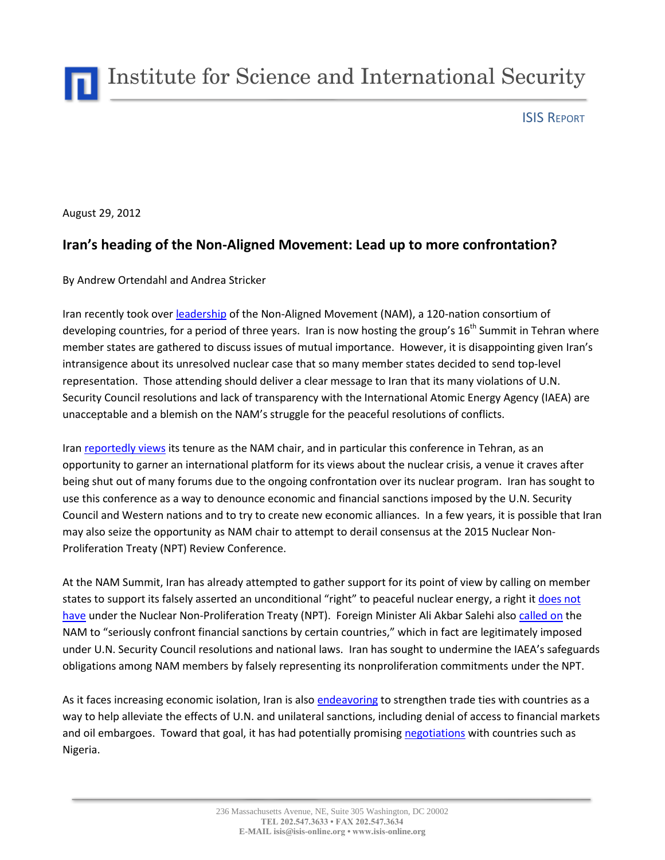Institute for Science and International Security

ISIS REPORT

August 29, 2012

## **Iran's heading of the Non-Aligned Movement: Lead up to more confrontation?**

By Andrew Ortendahl and Andrea Stricker

Iran recently took over [leadership](http://in.reuters.com/article/2012/08/23/iran-nam-idINL6E8JNH7J20120823) of the Non-Aligned Movement (NAM), a 120-nation consortium of developing countries, for a period of three years. Iran is now hosting the group's 16<sup>th</sup> Summit in Tehran where member states are gathered to discuss issues of mutual importance. However, it is disappointing given Iran's intransigence about its unresolved nuclear case that so many member states decided to send top-level representation. Those attending should deliver a clear message to Iran that its many violations of U.N. Security Council resolutions and lack of transparency with the International Atomic Energy Agency (IAEA) are unacceptable and a blemish on the NAM's struggle for the peaceful resolutions of conflicts.

Ira[n reportedly views](http://www.bloomberg.com/news/2012-08-23/iran-sees-non-aligned-summit-reducing-isolation-mehr-reports.html) its tenure as the NAM chair, and in particular this conference in Tehran, as an opportunity to garner an international platform for its views about the nuclear crisis, a venue it craves after being shut out of many forums due to the ongoing confrontation over its nuclear program. Iran has sought to use this conference as a way to denounce economic and financial sanctions imposed by the U.N. Security Council and Western nations and to try to create new economic alliances. In a few years, it is possible that Iran may also seize the opportunity as NAM chair to attempt to derail consensus at the 2015 Nuclear Non-Proliferation Treaty (NPT) Review Conference.

At the NAM Summit, Iran has already attempted to gather support for its point of view by calling on member states to support its falsely asserted an unconditional "right" to peaceful nuclear energy, a right i[t does not](http://www.isisnucleariran.org/brief/detail/support-the-reformist-call-for-a-national-referendum-over-irans-nuclear-pro/)  [have](http://www.isisnucleariran.org/brief/detail/support-the-reformist-call-for-a-national-referendum-over-irans-nuclear-pro/) under the Nuclear Non-Proliferation Treaty (NPT). Foreign Minister Ali Akbar Salehi also [called on](http://www.iranwpd.com/index.php?option=com_k2&view=item&id=3977:iran-seeks-nam-support-in-standoff-over-nuclear-programme&Itemid=65&lang=en) the NAM to "seriously confront financial sanctions by certain countries," which in fact are legitimately imposed under U.N. Security Council resolutions and national laws. Iran has sought to undermine the IAEA's safeguards obligations among NAM members by falsely representing its nonproliferation commitments under the NPT.

As it faces increasing economic isolation, Iran is also [endeavoring](http://www.bloomberg.com/news/2012-08-23/iran-sees-non-aligned-summit-reducing-isolation-mehr-reports.html) to strengthen trade ties with countries as a way to help alleviate the effects of U.N. and unilateral sanctions, including denial of access to financial markets and oil embargoes. Toward that goal, it has had potentially promisin[g negotiations](http://allafrica.com/stories/201208260363.html) with countries such as Nigeria.